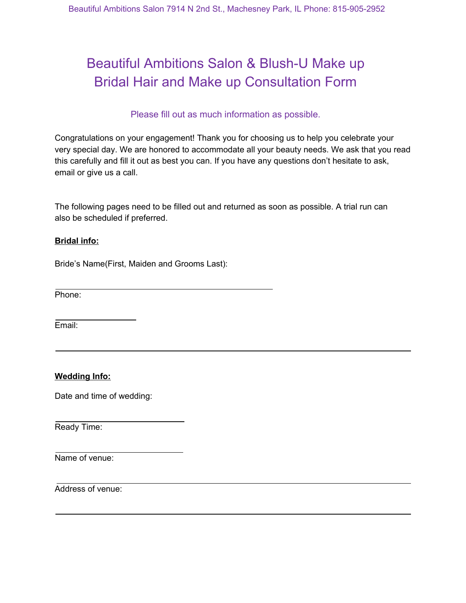# Beautiful Ambitions Salon & Blush-U Make up Bridal Hair and Make up Consultation Form

### Please fill out as much information as possible.

Congratulations on your engagement! Thank you for choosing us to help you celebrate your very special day. We are honored to accommodate all your beauty needs. We ask that you read this carefully and fill it out as best you can. If you have any questions don't hesitate to ask, email or give us a call.

The following pages need to be filled out and returned as soon as possible. A trial run can also be scheduled if preferred.

#### **Bridal info:**

Bride's Name(First, Maiden and Grooms Last):

Phone:

Email:

#### **Wedding Info:**

Date and time of wedding:

Ready Time:

Name of venue:

Address of venue: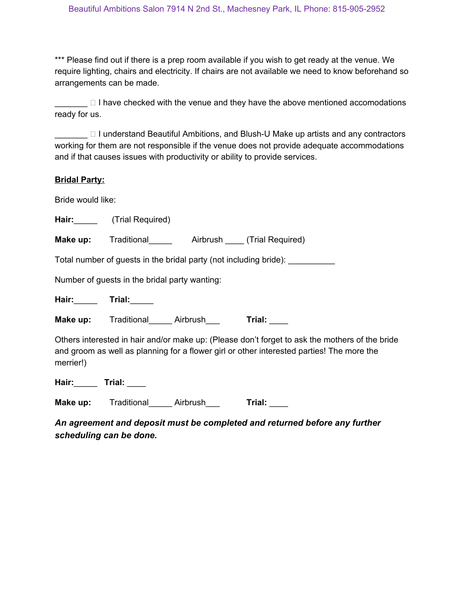\*\*\* Please find out if there is a prep room available if you wish to get ready at the venue. We require lighting, chairs and electricity. If chairs are not available we need to know beforehand so arrangements can be made.

 $\Box$  I have checked with the venue and they have the above mentioned accomodations ready for us.

□ I understand Beautiful Ambitions, and Blush-U Make up artists and any contractors working for them are not responsible if the venue does not provide adequate accommodations and if that causes issues with productivity or ability to provide services.

#### **Bridal Party:**

Bride would like:

**Hair:**\_\_\_\_\_ (Trial Required)

**Make up:** Traditional **Airbrush (Trial Required)** 

Total number of guests in the bridal party (not including bride): \_\_\_\_\_\_\_\_\_\_

Number of guests in the bridal party wanting:

**Hair:**\_\_\_\_\_ **Trial:**\_\_\_\_\_

**Make up:** Traditional Airbrush Trial:

Others interested in hair and/or make up: (Please don't forget to ask the mothers of the bride and groom as well as planning for a flower girl or other interested parties! The more the merrier!)

**Hair:**\_\_\_\_\_ **Trial:** \_\_\_\_

**Make up:** Traditional Airbrush Trial:

*An agreement and deposit must be completed and returned before any further scheduling can be done.*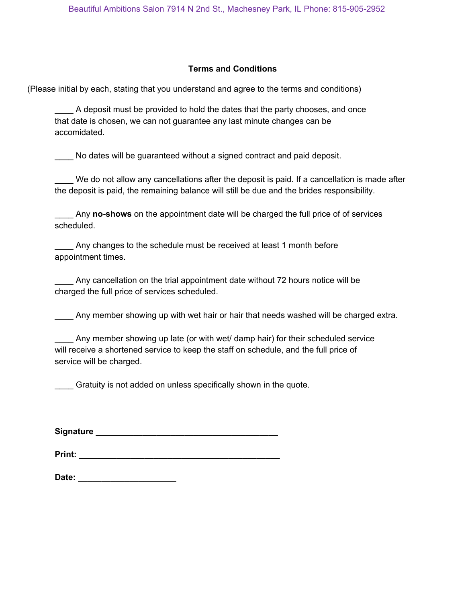#### **Terms and Conditions**

(Please initial by each, stating that you understand and agree to the terms and conditions)

A deposit must be provided to hold the dates that the party chooses, and once that date is chosen, we can not guarantee any last minute changes can be accomidated.

No dates will be guaranteed without a signed contract and paid deposit.

We do not allow any cancellations after the deposit is paid. If a cancellation is made after the deposit is paid, the remaining balance will still be due and the brides responsibility.

Any **no-shows** on the appointment date will be charged the full price of of services scheduled.

Any changes to the schedule must be received at least 1 month before appointment times.

Any cancellation on the trial appointment date without 72 hours notice will be charged the full price of services scheduled.

Any member showing up with wet hair or hair that needs washed will be charged extra.

| Any member showing up late (or with wet/ damp hair) for their scheduled service<br>$\overline{\phantom{a}}$ |
|-------------------------------------------------------------------------------------------------------------|
| will receive a shortened service to keep the staff on schedule, and the full price of                       |
| service will be charged.                                                                                    |

\_\_\_\_ Gratuity is not added on unless specifically shown in the quote.

**Signature \_\_\_\_\_\_\_\_\_\_\_\_\_\_\_\_\_\_\_\_\_\_\_\_\_\_\_\_\_\_\_\_\_\_\_\_\_\_\_**

| Print: |  |  |  |
|--------|--|--|--|
|        |  |  |  |

| Date: |  |  |  |  |  |  |
|-------|--|--|--|--|--|--|
|       |  |  |  |  |  |  |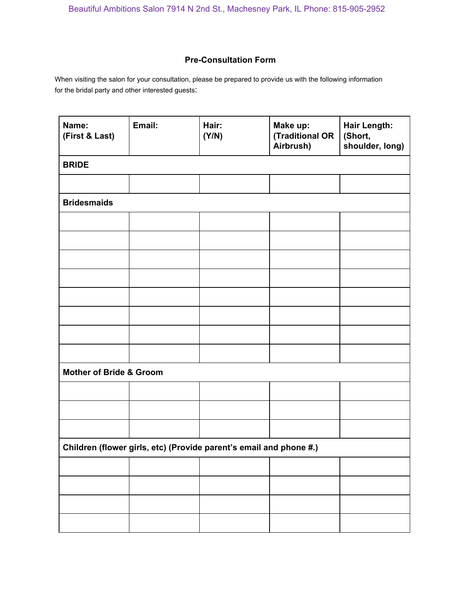### **Pre-Consultation Form**

When visiting the salon for your consultation, please be prepared to provide us with the following information for the bridal party and other interested guests:

| Name:<br>(First & Last)                                            | Email: | Hair:<br>(Y/N) | Make up:<br>(Traditional OR<br>Airbrush) | <b>Hair Length:</b><br>(Short,<br>shoulder, long) |  |  |  |  |  |
|--------------------------------------------------------------------|--------|----------------|------------------------------------------|---------------------------------------------------|--|--|--|--|--|
| <b>BRIDE</b>                                                       |        |                |                                          |                                                   |  |  |  |  |  |
|                                                                    |        |                |                                          |                                                   |  |  |  |  |  |
| <b>Bridesmaids</b>                                                 |        |                |                                          |                                                   |  |  |  |  |  |
|                                                                    |        |                |                                          |                                                   |  |  |  |  |  |
|                                                                    |        |                |                                          |                                                   |  |  |  |  |  |
|                                                                    |        |                |                                          |                                                   |  |  |  |  |  |
|                                                                    |        |                |                                          |                                                   |  |  |  |  |  |
|                                                                    |        |                |                                          |                                                   |  |  |  |  |  |
|                                                                    |        |                |                                          |                                                   |  |  |  |  |  |
|                                                                    |        |                |                                          |                                                   |  |  |  |  |  |
|                                                                    |        |                |                                          |                                                   |  |  |  |  |  |
| <b>Mother of Bride &amp; Groom</b>                                 |        |                |                                          |                                                   |  |  |  |  |  |
|                                                                    |        |                |                                          |                                                   |  |  |  |  |  |
|                                                                    |        |                |                                          |                                                   |  |  |  |  |  |
|                                                                    |        |                |                                          |                                                   |  |  |  |  |  |
| Children (flower girls, etc) (Provide parent's email and phone #.) |        |                |                                          |                                                   |  |  |  |  |  |
|                                                                    |        |                |                                          |                                                   |  |  |  |  |  |
|                                                                    |        |                |                                          |                                                   |  |  |  |  |  |
|                                                                    |        |                |                                          |                                                   |  |  |  |  |  |
|                                                                    |        |                |                                          |                                                   |  |  |  |  |  |